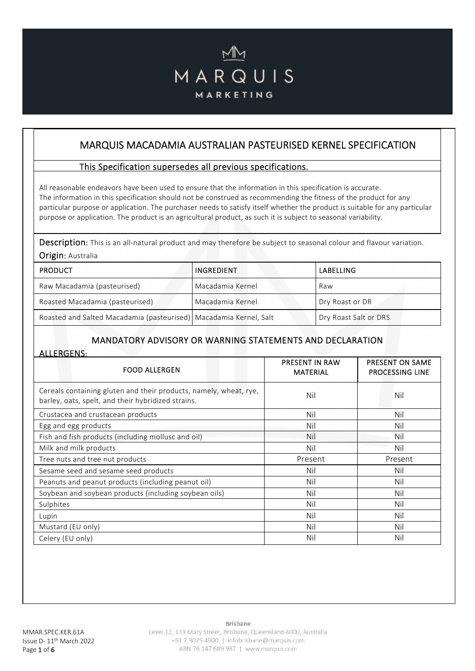# MARQUIS MARKETING

# MARQUIS MACADAMIA AUSTRALIAN PASTEURISED KERNEL SPECIFICATION

#### This Specification supersedes all previous specifications.

All reasonable endeavors have been used to ensure that the information in this specification is accurate. The information in this specification should not be construed as recommending the fitness of the product for any particular purpose or application. The purchaser needs to satisfy itself whether the product is suitable for any particular purpose or application. The product is an agricultural product, as such it is subject to seasonal variability.

Description: This is an all-natural product and may therefore be subject to seasonal colour and flavour variation. Origin: Australia

| <b>PRODUCT</b>                                                    | INGREDIENT       | LABELLING             |
|-------------------------------------------------------------------|------------------|-----------------------|
| Raw Macadamia (pasteurised)                                       | Macadamia Kernel | Raw                   |
| Roasted Macadamia (pasteurised)                                   | Macadamia Kernel | Dry Roast or DR       |
| Roasted and Salted Macadamia (pasteurised) Macadamia Kernel, Salt |                  | Dry Roast Salt or DRS |

### MANDATORY ADVISORY OR WARNING STATEMENTS AND DECLARATION

ALLERGENS:

| <b>FOOD ALLERGEN</b>                                                                                                    | <b>PRESENT IN RAW</b><br><b>MATERIAL</b> | PRESENT ON SAME<br><b>PROCESSING LINE</b> |
|-------------------------------------------------------------------------------------------------------------------------|------------------------------------------|-------------------------------------------|
| Cereals containing gluten and their products, namely, wheat, rye,<br>barley, oats, spelt, and their hybridized strains. | Nil                                      | Nil                                       |
| Crustacea and crustacean products                                                                                       | Nil                                      | Nil                                       |
| Egg and egg products                                                                                                    | Nil                                      | Nil                                       |
| Fish and fish products (including mollusc and oil)                                                                      | Nil                                      | Nil                                       |
| Milk and milk products                                                                                                  | Nil                                      | Nil                                       |
| Tree nuts and tree nut products                                                                                         | Present                                  | Present                                   |
| Sesame seed and sesame seed products                                                                                    | Nil                                      | Nil                                       |
| Peanuts and peanut products (including peanut oil)                                                                      | Nil                                      | Nil                                       |
| Soybean and soybean products (including soybean oils)                                                                   | Nil                                      | Nil                                       |
| Sulphites                                                                                                               | Nil                                      | Nil                                       |
| Lupin                                                                                                                   | Nil                                      | Nil                                       |
| Mustard (EU only)                                                                                                       | Nil                                      | Nil                                       |
| Celery (EU only)                                                                                                        | Nil                                      | Nil                                       |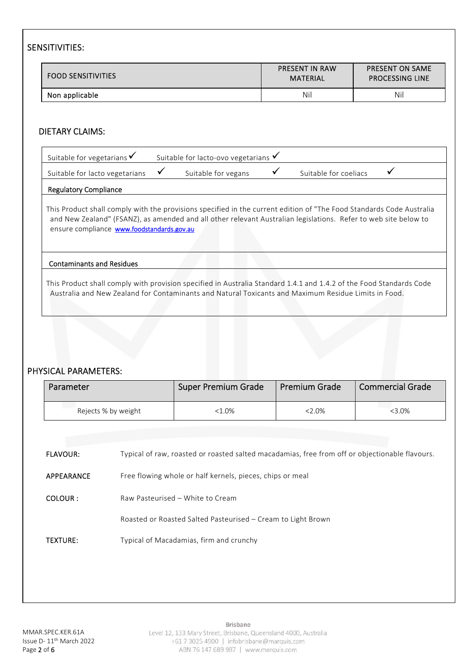## SENSITIVITIES:

| <b>FOOD SENSITIVITIES</b> | <b>PRESENT IN RAW</b><br>MATERIAL | <b>PRESENT ON SAME</b><br><b>PROCESSING LINE</b> |
|---------------------------|-----------------------------------|--------------------------------------------------|
| Non applicable            | Nil                               | Nil                                              |

### DIETARY CLAIMS:

| Suitable for vegetarians $\checkmark$ | Suitable for lacto-ovo vegetarians $\checkmark$ |                       |  |
|---------------------------------------|-------------------------------------------------|-----------------------|--|
| Suitable for lacto vegetarians        | Suitable for vegans                             | Suitable for coeliacs |  |

#### Regulatory Compliance

This Product shall comply with the provisions specified in the current edition of "The Food Standards Code Australia and New Zealand" (FSANZ), as amended and all other relevant Australian legislations. Refer to web site below to ensure compliance **www.foodstandards.gov.au** 

#### Contaminants and Residues

This Product shall comply with provision specified in Australia Standard 1.4.1 and 1.4.2 of the Food Standards Code Australia and New Zealand for Contaminants and Natural Toxicants and Maximum Residue Limits in Food.

### PHYSICAL PARAMETERS:

| Parameter           |                                                              | <b>Super Premium Grade</b>                                                                     | <b>Premium Grade</b> | <b>Commercial Grade</b> |
|---------------------|--------------------------------------------------------------|------------------------------------------------------------------------------------------------|----------------------|-------------------------|
| Rejects % by weight |                                                              | $< 1.0\%$                                                                                      | $2.0\%$              | $< 3.0\%$               |
|                     |                                                              |                                                                                                |                      |                         |
| <b>FLAVOUR:</b>     |                                                              | Typical of raw, roasted or roasted salted macadamias, free from off or objectionable flavours. |                      |                         |
| APPEARANCE          | Free flowing whole or half kernels, pieces, chips or meal    |                                                                                                |                      |                         |
| COLOUR:             | Raw Pasteurised - White to Cream                             |                                                                                                |                      |                         |
|                     | Roasted or Roasted Salted Pasteurised - Cream to Light Brown |                                                                                                |                      |                         |
| <b>TEXTURE:</b>     | Typical of Macadamias, firm and crunchy                      |                                                                                                |                      |                         |
|                     |                                                              |                                                                                                |                      |                         |
|                     |                                                              |                                                                                                |                      |                         |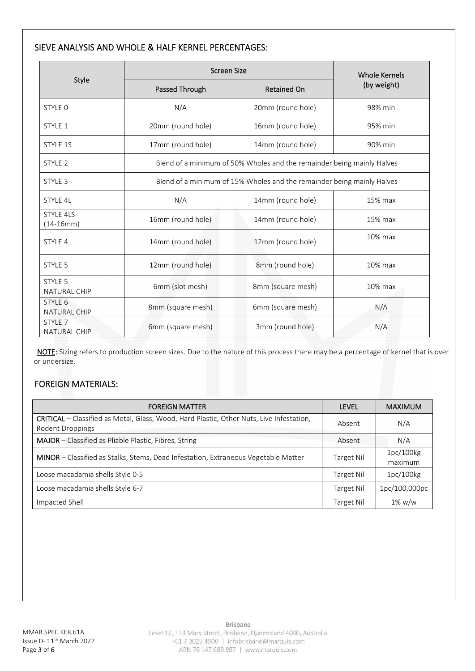### SIEVE ANALYSIS AND WHOLE & HALF KERNEL PERCENTAGES:

|                                           | <b>Screen Size</b> | <b>Whole Kernels</b>                                                   |         |
|-------------------------------------------|--------------------|------------------------------------------------------------------------|---------|
| Style                                     | Passed Through     | <b>Retained On</b>                                                     |         |
| STYLE 0                                   | N/A                | 20mm (round hole)                                                      | 98% min |
| STYLE 1                                   | 20mm (round hole)  | 16mm (round hole)                                                      | 95% min |
| STYLE 1S                                  | 17mm (round hole)  | 14mm (round hole)                                                      | 90% min |
| STYLE 2                                   |                    | Blend of a minimum of 50% Wholes and the remainder being mainly Halves |         |
| STYLE 3                                   |                    | Blend of a minimum of 15% Wholes and the remainder being mainly Halves |         |
| STYLE 4L                                  | N/A                | 14mm (round hole)                                                      | 15% max |
| <b>STYLE 4LS</b><br>(14-16mm)             | 16mm (round hole)  | 14mm (round hole)                                                      | 15% max |
| STYLE 4                                   | 14mm (round hole)  | 12mm (round hole)                                                      | 10% max |
| STYLE 5                                   | 12mm (round hole)  | 8mm (round hole)                                                       | 10% max |
| STYLE 5<br><b>NATURAL CHIP</b>            | 6mm (slot mesh)    | 8mm (square mesh)                                                      | 10% max |
| STYLE 6<br><b>NATURAL CHIP</b>            | 8mm (square mesh)  | 6mm (square mesh)                                                      | N/A     |
| STYLE <sub>7</sub><br><b>NATURAL CHIP</b> | 6mm (square mesh)  | 3mm (round hole)                                                       | N/A     |

NOTE: Sizing refers to production screen sizes. Due to the nature of this process there may be a percentage of kernel that is over or undersize.

## FOREIGN MATERIALS:

| <b>FOREIGN MATTER</b>                                                                                        | <b>LEVEL</b> | <b>MAXIMUM</b>       |
|--------------------------------------------------------------------------------------------------------------|--------------|----------------------|
| CRITICAL - Classified as Metal, Glass, Wood, Hard Plastic, Other Nuts, Live Infestation,<br>Rodent Droppings | Absent       | N/A                  |
| <b>MAJOR</b> – Classified as Pliable Plastic, Fibres, String                                                 | Absent       | N/A                  |
| MINOR – Classified as Stalks, Stems, Dead Infestation, Extraneous Vegetable Matter                           | Target Nil   | 1pc/100kg<br>maximum |
| Loose macadamia shells Style 0-5                                                                             | Target Nil   | 1pc/100kg            |
| Loose macadamia shells Style 6-7                                                                             | Target Nil   | 1pc/100,000pc        |
| Impacted Shell                                                                                               | Target Nil   | $1\%$ w/w            |

Brisbane

Level 12, 133 Mary Street, Brisbane, Queensland 4000, Australia +61 7 3025 4900 | infobrisbane@marquis.com ABN 76 147 689 987 | www.marquis.com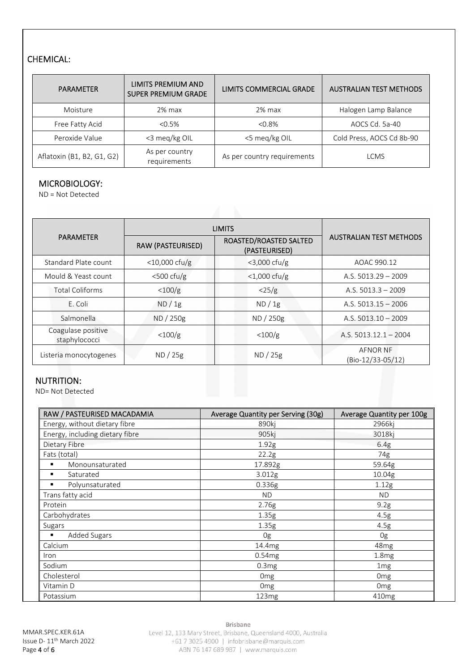# CHEMICAL:

| <b>PARAMETER</b>           | LIMITS PREMIUM AND<br><b>SUPER PREMIUM GRADE</b> | LIMITS COMMERCIAL GRADE     | <b>AUSTRALIAN TEST METHODS</b> |
|----------------------------|--------------------------------------------------|-----------------------------|--------------------------------|
| Moisture                   | $2\%$ max                                        | $2%$ max                    | Halogen Lamp Balance           |
| Free Fatty Acid            | $< 0.5\%$                                        | $< 0.8\%$                   | AOCS Cd. 5a-40                 |
| Peroxide Value             | <3 meg/kg OIL                                    | <5 meg/kg OIL               | Cold Press, AOCS Cd 8b-90      |
| Aflatoxin (B1, B2, G1, G2) | As per country<br>requirements                   | As per country requirements | LCMS                           |

#### MICROBIOLOGY:

ND = Not Detected

|                                     | <b>LIMITS</b>     |                                         |                                      |
|-------------------------------------|-------------------|-----------------------------------------|--------------------------------------|
| <b>PARAMETER</b>                    | RAW (PASTEURISED) | ROASTED/ROASTED SALTED<br>(PASTEURISED) | <b>AUSTRALIAN TEST METHODS</b>       |
| Standard Plate count                | $<$ 10,000 cfu/g  | $<$ 3,000 cfu/g                         | AOAC 990.12                          |
| Mould & Yeast count                 | $<$ 500 cfu/g     | $<1,000$ cfu/g                          | A.S. $5013.29 - 2009$                |
| <b>Total Coliforms</b>              | <100/g            | $\langle 25/g$                          | A.S. $5013.3 - 2009$                 |
| E. Coli                             | ND / 1g           | ND / 1g                                 | A.S. $5013.15 - 2006$                |
| Salmonella                          | ND / 250g         | ND / 250g                               | A.S. $5013.10 - 2009$                |
| Coagulase positive<br>staphylococci | $<$ 100/g         | $<$ 100/g                               | A.S. $5013.12.1 - 2004$              |
| Listeria monocytogenes              | ND / 25g          | ND / 25g                                | <b>AFNOR NF</b><br>(Bio-12/33-05/12) |

#### NUTRITION:

ND= Not Detected

| RAW / PASTEURISED MACADAMIA     | Average Quantity per Serving (30g) | Average Quantity per 100g |
|---------------------------------|------------------------------------|---------------------------|
| Energy, without dietary fibre   | 890kj                              | 2966ki                    |
| Energy, including dietary fibre | 905kj                              | 3018kj                    |
| Dietary Fibre                   | 1.92g                              | 6.4g                      |
| Fats (total)                    | 22.2g                              | 74g                       |
| Monounsaturated<br>٠            | 17.892g                            | 59.64g                    |
| Saturated<br>٠                  | 3.012g                             | 10.04g                    |
| Polyunsaturated<br>٠            | 0.336g                             | 1.12g                     |
| Trans fatty acid                | <b>ND</b>                          | <b>ND</b>                 |
| Protein                         | 2.76g                              | 9.2g                      |
| Carbohydrates                   | 1.35g                              | 4.5g                      |
| Sugars                          | 1.35g                              | 4.5g                      |
| <b>Added Sugars</b><br>٠        | 0g                                 | 0g                        |
| Calcium                         | 14.4mg                             | 48 <sub>mg</sub>          |
| <i>Iron</i>                     | 0.54mg                             | 1.8 <sub>mg</sub>         |
| Sodium                          | 0.3mg                              | 1 <sub>mg</sub>           |
| Cholesterol                     | Omg                                | 0 <sub>mg</sub>           |
| Vitamin D                       | Omg                                | Omg                       |
| Potassium                       | 123mg                              | 410mg                     |

Brisbane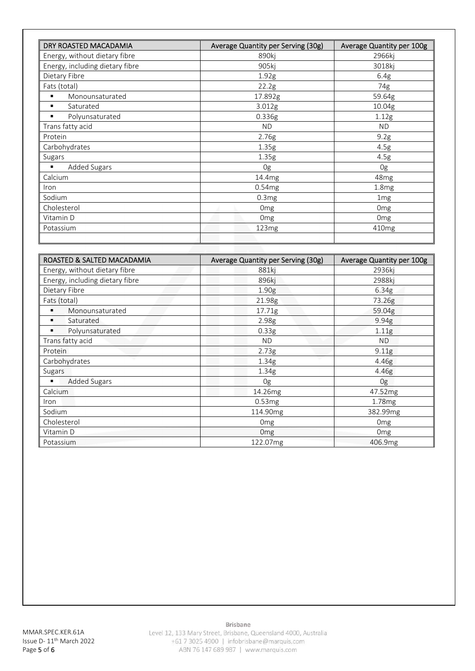| DRY ROASTED MACADAMIA           | Average Quantity per Serving (30g) | Average Quantity per 100g |
|---------------------------------|------------------------------------|---------------------------|
| Energy, without dietary fibre   | 890kj                              | 2966kj                    |
| Energy, including dietary fibre | 905kj                              | 3018kj                    |
| Dietary Fibre                   | 1.92g                              | 6.4g                      |
| Fats (total)                    | 22.2g                              | 74g                       |
| Monounsaturated                 | 17.892g                            | 59.64g                    |
| Saturated                       | 3.012g                             | 10.04g                    |
| Polyunsaturated                 | 0.336g                             | 1.12g                     |
| Trans fatty acid                | <b>ND</b>                          | <b>ND</b>                 |
| Protein                         | 2.76g                              | 9.2g                      |
| Carbohydrates                   | 1.35g                              | 4.5g                      |
| Sugars                          | 1.35g                              | 4.5g                      |
| Added Sugars<br>٠               | 0g                                 | 0g                        |
| Calcium                         | 14.4mg                             | 48 <sub>mg</sub>          |
| Iron                            | 0.54mg                             | 1.8 <sub>mg</sub>         |
| Sodium                          | 0.3mg                              | 1 <sub>mg</sub>           |
| Cholesterol                     | 0 <sub>mg</sub>                    | Omg                       |
| Vitamin D                       | Omg                                | 0 <sub>mg</sub>           |
| Potassium                       | 123mg                              | 410mg                     |
|                                 |                                    |                           |

| ROASTED & SALTED MACADAMIA      | Average Quantity per Serving (30g) | Average Quantity per 100g |
|---------------------------------|------------------------------------|---------------------------|
| Energy, without dietary fibre   | 881ki                              | 2936ki                    |
| Energy, including dietary fibre | 896kj                              | 2988kj                    |
| Dietary Fibre                   | 1.90 <sub>g</sub>                  | 6.34g                     |
| Fats (total)                    | 21.98g                             | 73.26g                    |
| Monounsaturated<br>٠            | 17.71g                             | 59.04g                    |
| Saturated<br>٠                  | 2.98g                              | 9.94g                     |
| Polyunsaturated<br>٠            | 0.33g                              | 1.11g                     |
| Trans fatty acid                | ND.                                | <b>ND</b>                 |
| Protein                         | 2.73g                              | 9.11g                     |
| Carbohydrates                   | 1.34g                              | 4.46g                     |
| Sugars                          | 1.34g                              | 4.46g                     |
| <b>Added Sugars</b>             | 0g                                 | 0g                        |
| Calcium                         | 14.26mg                            | 47.52mg                   |
| Iron                            | 0.53mg                             | 1.78 <sub>mg</sub>        |
| Sodium                          | 114.90mg                           | 382.99mg                  |
| Cholesterol                     | 0 <sub>mg</sub>                    | Omg                       |
| Vitamin D                       | <b>Omg</b>                         | Omg                       |
| Potassium                       | 122.07mg                           | 406.9mg                   |

Brisbane

Level 12, 133 Mary Street, Brisbane, Queensland 4000, Australia +61 7 3025 4900 | infobrisbane@marquis.com ABN 76 147 689 987 | www.marquis.com